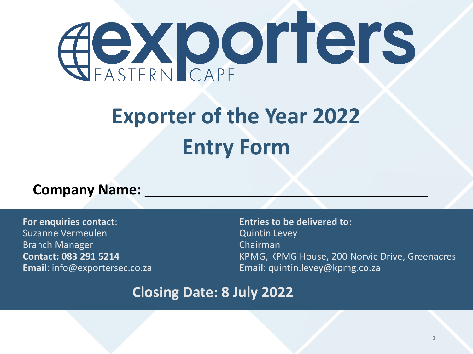# **COXporters**

## **Exporter of the Year 2022 Entry Form**

#### **Company Name:**

**For enquiries contact**: Suzanne Vermeulen Branch Manager **Contact: 083 291 5214 Email**: info@exportersec.co.za **Entries to be delivered to**: Quintin Levey Chairman KPMG, KPMG House, 200 Norvic Drive, Greenacres **Email**: quintin.levey@kpmg.co.za

#### **Closing Date: 8 July 2022**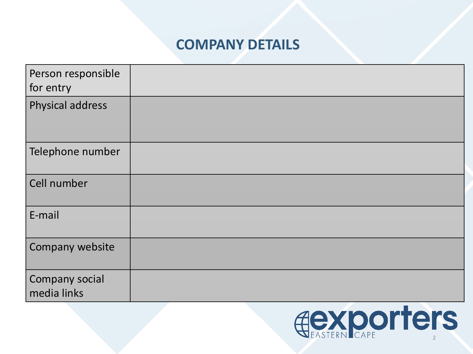#### **COMPANY DETAILS**

| Person responsible<br>for entry |  |
|---------------------------------|--|
| Physical address                |  |
| Telephone number                |  |
| Cell number                     |  |
| E-mail                          |  |
| Company website                 |  |
| Company social<br>media links   |  |

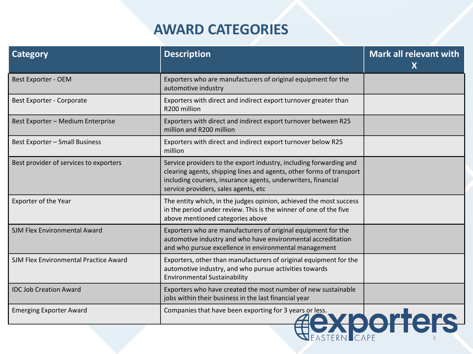#### **AWARD CATEGORIES**

| <b>Category</b>                        | <b>Description</b>                                                                                                                                                                                                                                  | Mark all relevant with<br>X |
|----------------------------------------|-----------------------------------------------------------------------------------------------------------------------------------------------------------------------------------------------------------------------------------------------------|-----------------------------|
| Best Exporter - OEM                    | Exporters who are manufacturers of original equipment for the<br>automotive industry                                                                                                                                                                |                             |
| <b>Best Exporter - Corporate</b>       | Exporters with direct and indirect export turnover greater than<br>R200 million                                                                                                                                                                     |                             |
| Best Exporter - Medium Enterprise      | Exporters with direct and indirect export turnover between R25<br>million and R200 million                                                                                                                                                          |                             |
| <b>Best Exporter - Small Business</b>  | Exporters with direct and indirect export turnover below R25<br>million                                                                                                                                                                             |                             |
| Best provider of services to exporters | Service providers to the export industry, including forwarding and<br>clearing agents, shipping lines and agents, other forms of transport<br>including couriers, insurance agents, underwriters, financial<br>service providers, sales agents, etc |                             |
| Exporter of the Year                   | The entity which, in the judges opinion, achieved the most success<br>in the period under review. This is the winner of one of the five<br>above mentioned categories above                                                                         |                             |
| <b>SJM Flex Environmental Award</b>    | Exporters who are manufacturers of original equipment for the<br>automotive industry and who have environmental accreditation<br>and who pursue excellence in environmental management                                                              |                             |
| SJM Flex Environmental Practice Award  | Exporters, other than manufacturers of original equipment for the<br>automotive industry, and who pursue activities towards<br><b>Environmental Sustainability</b>                                                                                  |                             |
| <b>IDC Job Creation Award</b>          | Exporters who have created the most number of new sustainable<br>jobs within their business in the last financial year                                                                                                                              |                             |
| <b>Emerging Exporter Award</b>         | Companies that have been exporting for 3 years or less.                                                                                                                                                                                             | <b>Porter</b>               |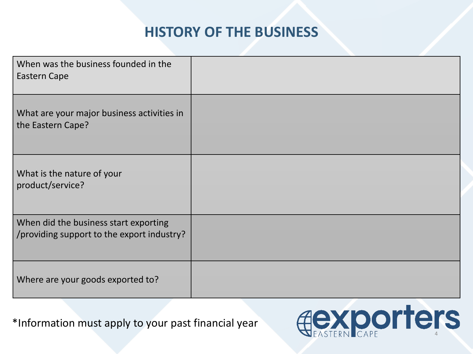#### **HISTORY OF THE BUSINESS**

| When was the business founded in the<br><b>Eastern Cape</b>                         |  |
|-------------------------------------------------------------------------------------|--|
| What are your major business activities in<br>the Eastern Cape?                     |  |
| What is the nature of your<br>product/service?                                      |  |
| When did the business start exporting<br>/providing support to the export industry? |  |
| Where are your goods exported to?                                                   |  |

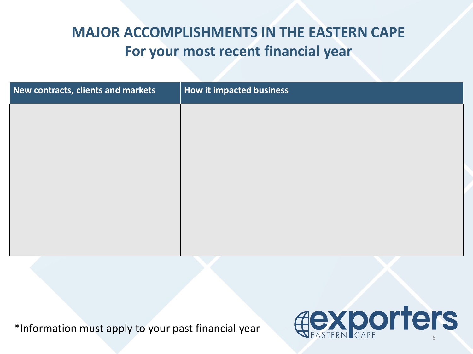#### **MAJOR ACCOMPLISHMENTS IN THE EASTERN CAPE For your most recent financial year**

| New contracts, clients and markets | How it impacted business |
|------------------------------------|--------------------------|
|                                    |                          |
|                                    |                          |
|                                    |                          |
|                                    |                          |
|                                    |                          |
|                                    |                          |
|                                    |                          |

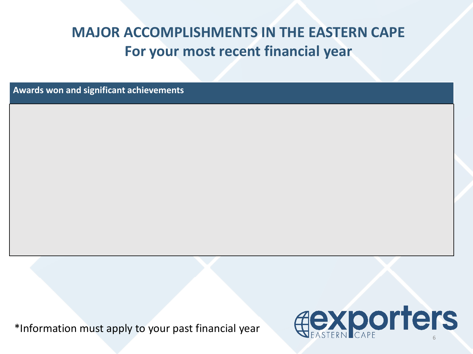#### **MAJOR ACCOMPLISHMENTS IN THE EASTERN CAPE For your most recent financial year**

**Awards won and significant achievements**

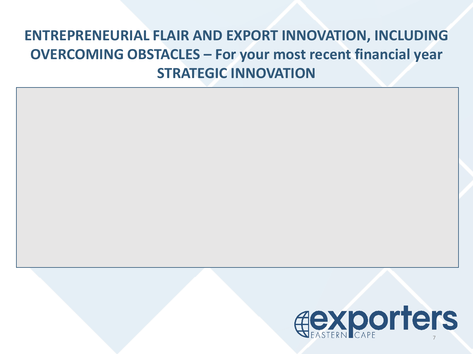## **ENTREPRENEURIAL FLAIR AND EXPORT INNOVATION, INCLUDING OVERCOMING OBSTACLES – For your most recent financial year STRATEGIC INNOVATION**

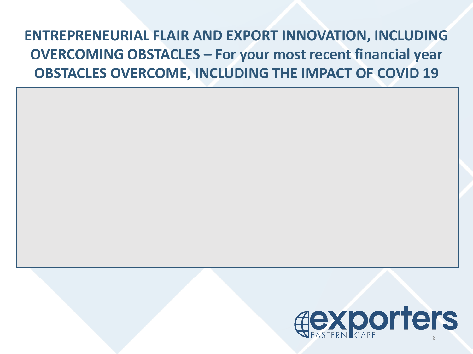## **ENTREPRENEURIAL FLAIR AND EXPORT INNOVATION, INCLUDING OVERCOMING OBSTACLES – For your most recent financial year OBSTACLES OVERCOME, INCLUDING THE IMPACT OF COVID 19**

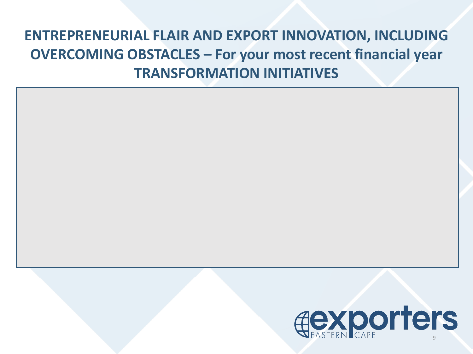## **ENTREPRENEURIAL FLAIR AND EXPORT INNOVATION, INCLUDING OVERCOMING OBSTACLES – For your most recent financial year TRANSFORMATION INITIATIVES**

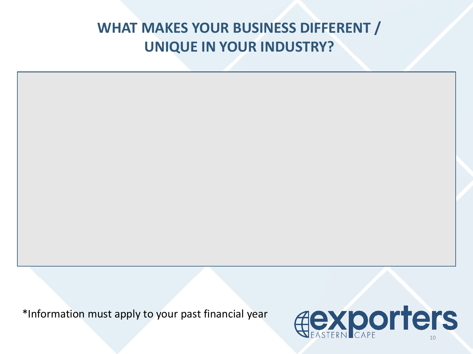#### **WHAT MAKES YOUR BUSINESS DIFFERENT / UNIQUE IN YOUR INDUSTRY?**

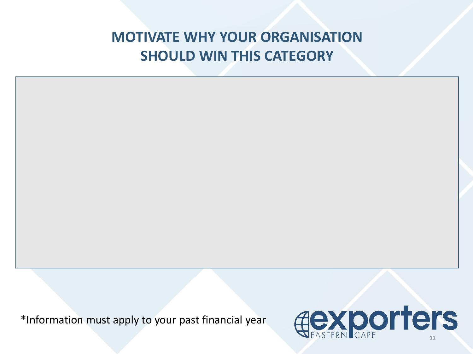#### **MOTIVATE WHY YOUR ORGANISATION SHOULD WIN THIS CATEGORY**

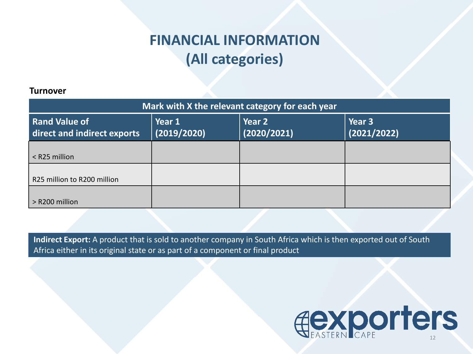#### **FINANCIAL INFORMATION (All categories)**

#### **Turnover**

| Mark with X the relevant category for each year |                       |                       |                       |  |  |
|-------------------------------------------------|-----------------------|-----------------------|-----------------------|--|--|
| Rand Value of<br>direct and indirect exports    | Year 1<br>(2019/2020) | Year 2<br>(2020/2021) | Year 3<br>(2021/2022) |  |  |
| $<$ R25 million                                 |                       |                       |                       |  |  |
| R25 million to R200 million                     |                       |                       |                       |  |  |
| $>$ R200 million                                |                       |                       |                       |  |  |

**Indirect Export:** A product that is sold to another company in South Africa which is then exported out of South Africa either in its original state or as part of a component or final product

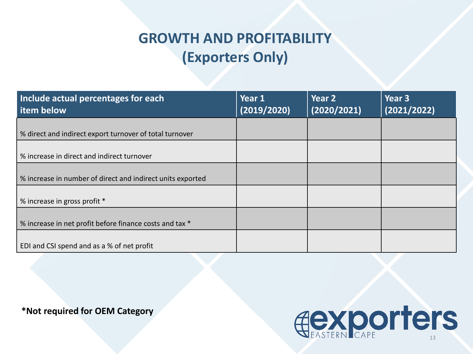#### **GROWTH AND PROFITABILITY (Exporters Only)**

| Include actual percentages for each<br>l item below        | Year 1<br>(2019/2020) | Year 2<br>(2020/2021) | Year <sub>3</sub><br>(2021/2022) |
|------------------------------------------------------------|-----------------------|-----------------------|----------------------------------|
| % direct and indirect export turnover of total turnover    |                       |                       |                                  |
| % increase in direct and indirect turnover                 |                       |                       |                                  |
| % increase in number of direct and indirect units exported |                       |                       |                                  |
| % increase in gross profit *                               |                       |                       |                                  |
| % increase in net profit before finance costs and tax *    |                       |                       |                                  |
| EDI and CSI spend and as a % of net profit                 |                       |                       |                                  |

**\*Not required for OEM Category**

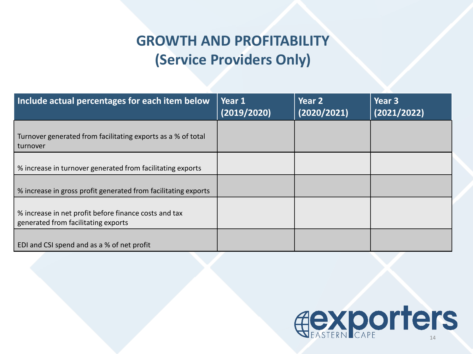### **GROWTH AND PROFITABILITY (Service Providers Only)**

| Include actual percentages for each item below                                               | Year 1<br>(2019/2020) | Year 2<br>(2020/2021) | Year 3<br>(2021/2022) |
|----------------------------------------------------------------------------------------------|-----------------------|-----------------------|-----------------------|
| Turnover generated from facilitating exports as a % of total<br>turnover                     |                       |                       |                       |
| % increase in turnover generated from facilitating exports                                   |                       |                       |                       |
| % increase in gross profit generated from facilitating exports                               |                       |                       |                       |
| % increase in net profit before finance costs and tax<br>generated from facilitating exports |                       |                       |                       |
| EDI and CSI spend and as a % of net profit                                                   |                       |                       |                       |

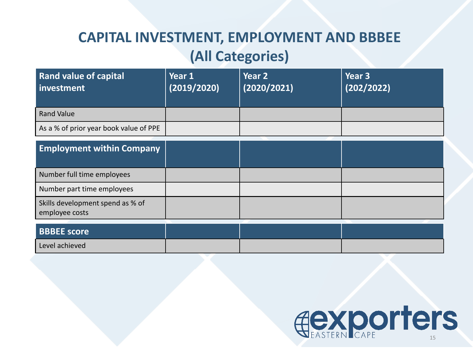### **CAPITAL INVESTMENT, EMPLOYMENT AND BBBEE (All Categories)**

| <b>Rand value of capital</b><br>investment | Year 1<br>(2019/2020) | Year 2<br>(2020/2021) | Year 3<br>(202/2022) |
|--------------------------------------------|-----------------------|-----------------------|----------------------|
| <b>Rand Value</b>                          |                       |                       |                      |
| As a % of prior year book value of PPE     |                       |                       |                      |

| <b>Employment within Company</b>                   |  |  |
|----------------------------------------------------|--|--|
| Number full time employees                         |  |  |
| Number part time employees                         |  |  |
| Skills development spend as % of<br>employee costs |  |  |
| <b>BBBEE</b> score                                 |  |  |

| <b>BBBEE</b> score |  |  |
|--------------------|--|--|
| Level achieved     |  |  |

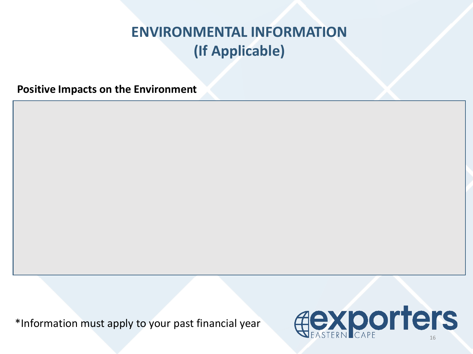**Positive Impacts on the Environment**

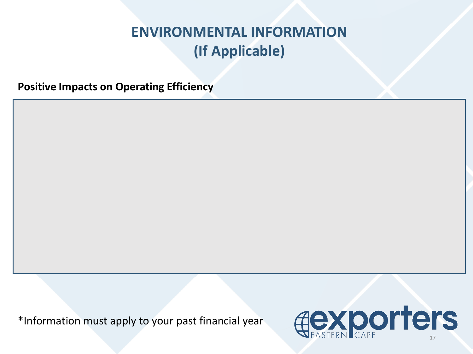**Positive Impacts on Operating Efficiency**

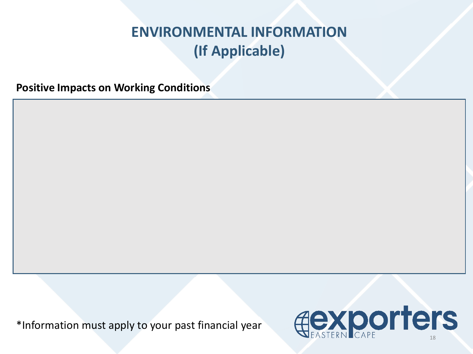**Positive Impacts on Working Conditions**

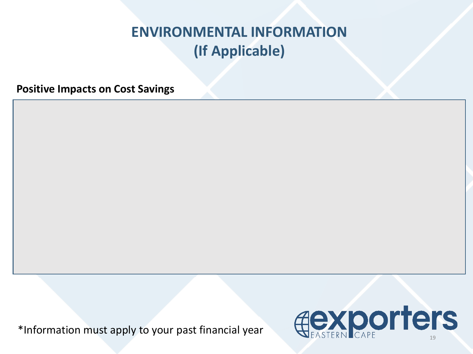**Positive Impacts on Cost Savings**

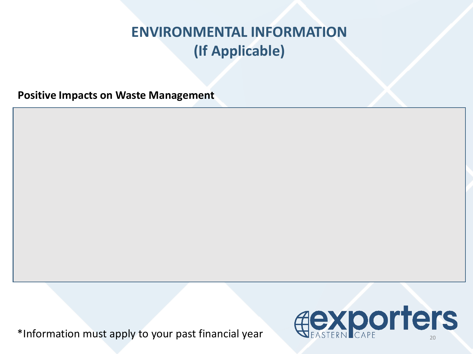**Positive Impacts on Waste Management**

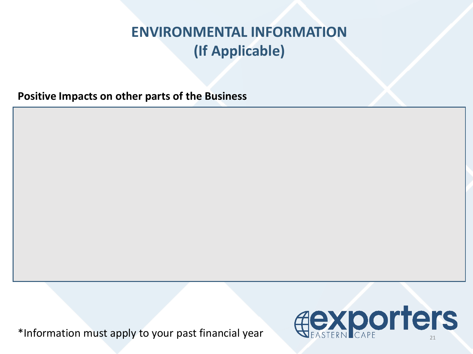**Positive Impacts on other parts of the Business**

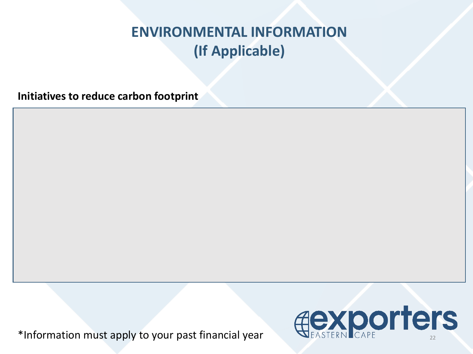**Initiatives to reduce carbon footprint**

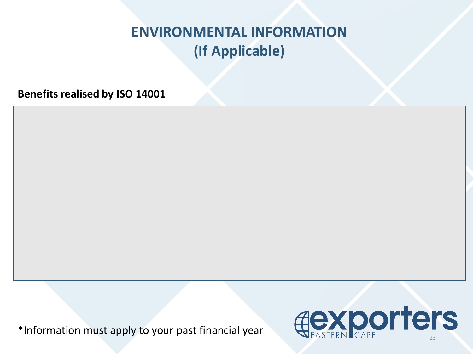**Benefits realised by ISO 14001**

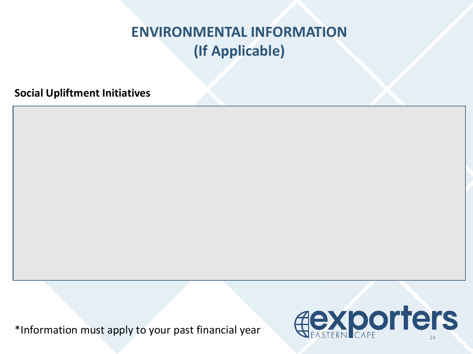**Social Upliftment Initiatives**



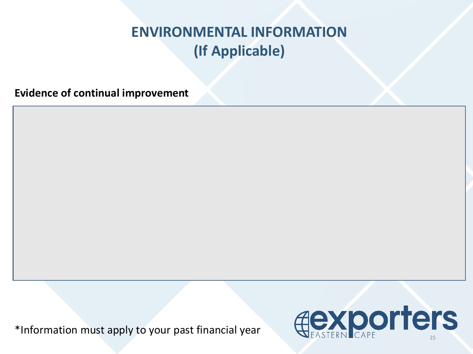**Evidence of continual improvement**

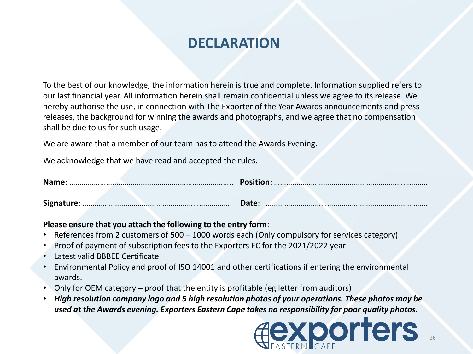#### **DECLARATION**

To the best of our knowledge, the information herein is true and complete. Information supplied refers to our last financial year. All information herein shall remain confidential unless we agree to its release. We hereby authorise the use, in connection with The Exporter of the Year Awards announcements and press releases, the background for winning the awards and photographs, and we agree that no compensation shall be due to us for such usage.

We are aware that a member of our team has to attend the Awards Evening.

We acknowledge that we have read and accepted the rules.

|  | Date: |  |  |  |
|--|-------|--|--|--|

#### **Please ensure that you attach the following to the entry form**:

- References from 2 customers of 500 1000 words each (Only compulsory for services category)
- Proof of payment of subscription fees to the Exporters EC for the 2021/2022 year
- Latest valid BBBEE Certificate
- Environmental Policy and proof of ISO 14001 and other certifications if entering the environmental awards.
- Only for OEM category proof that the entity is profitable (eg letter from auditors)
- *High resolution company logo and 5 high resolution photos of your operations. These photos may be used at the Awards evening. Exporters Eastern Cape takes no responsibility for poor quality photos.*

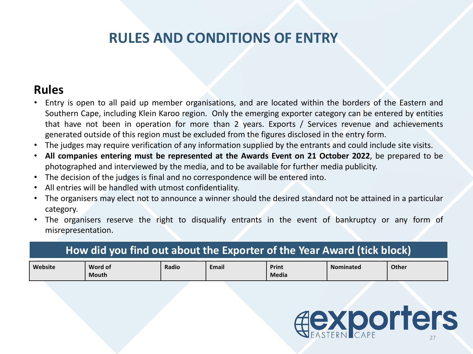#### **RULES AND CONDITIONS OF ENTRY**

#### **Rules**

- Entry is open to all paid up member organisations, and are located within the borders of the Eastern and Southern Cape, including Klein Karoo region. Only the emerging exporter category can be entered by entities that have not been in operation for more than 2 years. Exports / Services revenue and achievements generated outside of this region must be excluded from the figures disclosed in the entry form.
- The judges may require verification of any information supplied by the entrants and could include site visits.
- **All companies entering must be represented at the Awards Event on 21 October 2022**, be prepared to be photographed and interviewed by the media, and to be available for further media publicity.
- The decision of the judges is final and no correspondence will be entered into.
- All entries will be handled with utmost confidentiality.
- The organisers may elect not to announce a winner should the desired standard not be attained in a particular category.
- The organisers reserve the right to disqualify entrants in the event of bankruptcy or any form of misrepresentation.

#### **How did you find out about the Exporter of the Year Award (tick block)**

| Website | Word of<br><b>Mouth</b> | Radio | <b>Email</b> | Print<br>Media | <b>Nominated</b> | <b>Other</b> |
|---------|-------------------------|-------|--------------|----------------|------------------|--------------|
|         |                         |       |              |                |                  |              |

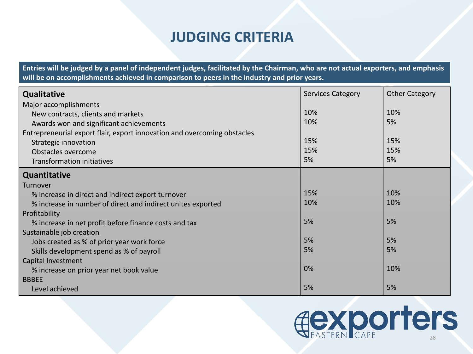#### **JUDGING CRITERIA**

**Entries will be judged by a panel of independent judges, facilitated by the Chairman, who are not actual exporters, and emphasis will be on accomplishments achieved in comparison to peers in the industry and prior years.**

| <b>Qualitative</b>                                                       | <b>Services Category</b> | <b>Other Category</b> |
|--------------------------------------------------------------------------|--------------------------|-----------------------|
| Major accomplishments                                                    |                          |                       |
| New contracts, clients and markets                                       | 10%                      | 10%                   |
| Awards won and significant achievements                                  | 10%                      | 5%                    |
| Entrepreneurial export flair, export innovation and overcoming obstacles |                          |                       |
| Strategic innovation                                                     | 15%                      | 15%                   |
| Obstacles overcome                                                       | 15%                      | 15%                   |
| <b>Transformation initiatives</b>                                        | 5%                       | 5%                    |
| <b>Quantitative</b>                                                      |                          |                       |
| Turnover                                                                 |                          |                       |
| % increase in direct and indirect export turnover                        | 15%                      | 10%                   |
| % increase in number of direct and indirect unites exported              | 10%                      | 10%                   |
| Profitability                                                            |                          |                       |
| % increase in net profit before finance costs and tax                    | 5%                       | 5%                    |
| Sustainable job creation                                                 |                          |                       |
| Jobs created as % of prior year work force                               | 5%                       | 5%                    |
| Skills development spend as % of payroll                                 | 5%                       | 5%                    |
| Capital Investment                                                       |                          |                       |
| % increase on prior year net book value                                  | 0%                       | 10%                   |
| <b>BBBEE</b>                                                             |                          |                       |
| Level achieved                                                           | 5%                       | 5%                    |